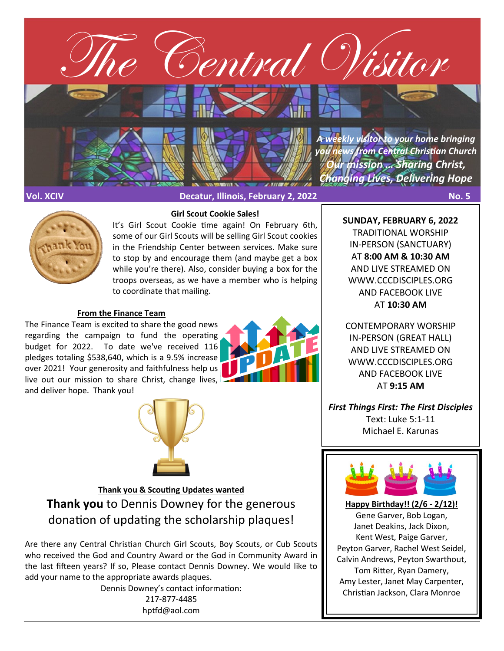

**Vol. XCIV Decatur, Illinois, February 2, 2022 No. 5**



It's Girl Scout Cookie time again! On February 6th, some of our Girl Scouts will be selling Girl Scout cookies in the Friendship Center between services. Make sure to stop by and encourage them (and maybe get a box while you're there). Also, consider buying a box for the troops overseas, as we have a member who is helping to coordinate that mailing.

**Girl Scout Cookie Sales!**

#### **From the Finance Team**

The Finance Team is excited to share the good news regarding the campaign to fund the operating budget for 2022. To date we've received 116 pledges totaling \$538,640, which is a 9.5% increase over 2021! Your generosity and faithfulness help us live out our mission to share Christ, change lives, and deliver hope. Thank you!





**Thank you & Scouting Updates wanted Thank you** to Dennis Downey for the generous donation of updating the scholarship plaques!

Are there any Central Christian Church Girl Scouts, Boy Scouts, or Cub Scouts who received the God and Country Award or the God in Community Award in the last fifteen years? If so, Please contact Dennis Downey. We would like to add your name to the appropriate awards plaques.

> Dennis Downey's contact information: 217-877-4485 hptfd@aol.com

**SUNDAY, FEBRUARY 6, 2022**

TRADITIONAL WORSHIP IN-PERSON (SANCTUARY) AT **8:00 AM & 10:30 AM**  AND LIVE STREAMED ON WWW.CCCDISCIPLES.ORG AND FACEBOOK LIVE AT **10:30 AM**

CONTEMPORARY WORSHIP IN-PERSON (GREAT HALL) AND LIVE STREAMED ON WWW.CCCDISCIPLES.ORG AND FACEBOOK LIVE AT **9:15 AM**

*First Things First: The First Disciples* Text: Luke 5:1-11 Michael E. Karunas



**Happy Birthday!! (2/6 - 2/12)!** Gene Garver, Bob Logan, Janet Deakins, Jack Dixon, Kent West, Paige Garver, Peyton Garver, Rachel West Seidel, Calvin Andrews, Peyton Swarthout, Tom Ritter, Ryan Damery, Amy Lester, Janet May Carpenter, Christian Jackson, Clara Monroe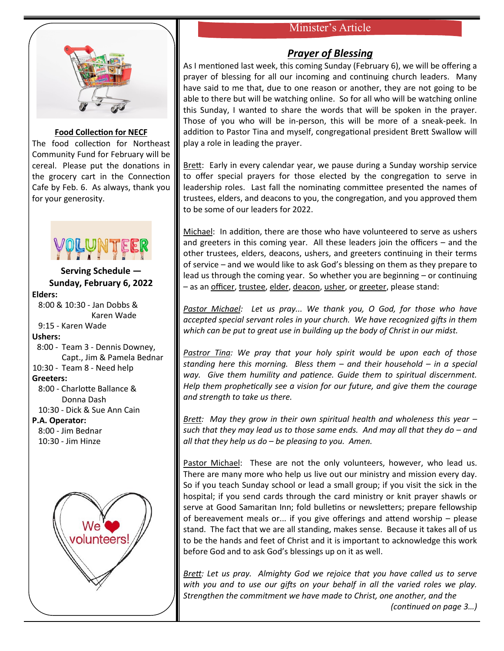# Minister's Article



#### **Food Collection for NECF**

The food collection for Northeast Community Fund for February will be cereal. Please put the donations in the grocery cart in the Connection Cafe by Feb. 6. As always, thank you for your generosity.



## **Serving Schedule — Sunday, February 6, 2022 Elders:**

 8:00 & 10:30 - Jan Dobbs & Karen Wade 9:15 - Karen Wade **Ushers:** 8:00 - Team 3 - Dennis Downey, Capt., Jim & Pamela Bednar 10:30 - Team 8 - Need help **Greeters:** 8:00 - Charlotte Ballance & Donna Dash 10:30 - Dick & Sue Ann Cain **P.A. Operator:** 8:00 - Jim Bednar 10:30 - Jim Hinze



# *Prayer of Blessing*

As I mentioned last week, this coming Sunday (February 6), we will be offering a prayer of blessing for all our incoming and continuing church leaders. Many have said to me that, due to one reason or another, they are not going to be able to there but will be watching online. So for all who will be watching online this Sunday, I wanted to share the words that will be spoken in the prayer. Those of you who will be in-person, this will be more of a sneak-peek. In addition to Pastor Tina and myself, congregational president Brett Swallow will play a role in leading the prayer.

Brett: Early in every calendar year, we pause during a Sunday worship service to offer special prayers for those elected by the congregation to serve in leadership roles. Last fall the nominating committee presented the names of trustees, elders, and deacons to you, the congregation, and you approved them to be some of our leaders for 2022.

Michael: In addition, there are those who have volunteered to serve as ushers and greeters in this coming year. All these leaders join the officers – and the other trustees, elders, deacons, ushers, and greeters continuing in their terms of service – and we would like to ask God's blessing on them as they prepare to lead us through the coming year. So whether you are beginning – or continuing – as an officer, trustee, elder, deacon, usher, or greeter, please stand:

*Pastor Michael: Let us pray... We thank you, O God, for those who have accepted special servant roles in your church. We have recognized gifts in them which can be put to great use in building up the body of Christ in our midst.*

*Pastror Tina: We pray that your holy spirit would be upon each of those standing here this morning. Bless them – and their household – in a special way. Give them humility and patience. Guide them to spiritual discernment. Help them prophetically see a vision for our future, and give them the courage and strength to take us there.*

*Brett: May they grow in their own spiritual health and wholeness this year – such that they may lead us to those same ends. And may all that they do – and all that they help us do – be pleasing to you. Amen.* 

Pastor Michael: These are not the only volunteers, however, who lead us. There are many more who help us live out our ministry and mission every day. So if you teach Sunday school or lead a small group; if you visit the sick in the hospital; if you send cards through the card ministry or knit prayer shawls or serve at Good Samaritan Inn; fold bulletins or newsletters; prepare fellowship of bereavement meals or... if you give offerings and attend worship – please stand. The fact that we are all standing, makes sense. Because it takes all of us to be the hands and feet of Christ and it is important to acknowledge this work before God and to ask God's blessings up on it as well.

*Brett: Let us pray. Almighty God we rejoice that you have called us to serve with you and to use our gifts on your behalf in all the varied roles we play. Strengthen the commitment we have made to Christ, one another, and the* 

*(continued on page 3…)*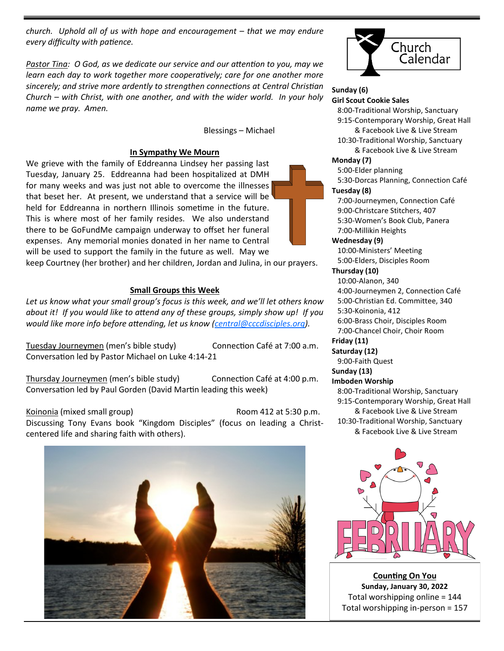*church. Uphold all of us with hope and encouragement – that we may endure every difficulty with patience.*

*Pastor Tina: O God, as we dedicate our service and our attention to you, may we learn each day to work together more cooperatively; care for one another more sincerely; and strive more ardently to strengthen connections at Central Christian Church – with Christ, with one another, and with the wider world. In your holy name we pray. Amen.* 

Blessings – Michael

## **In Sympathy We Mourn**

We grieve with the family of Eddreanna Lindsey her passing last Tuesday, January 25. Eddreanna had been hospitalized at DMH for many weeks and was just not able to overcome the illnesses that beset her. At present, we understand that a service will be held for Eddreanna in northern Illinois sometime in the future. This is where most of her family resides. We also understand there to be GoFundMe campaign underway to offset her funeral expenses. Any memorial monies donated in her name to Central will be used to support the family in the future as well. May we

keep Courtney (her brother) and her children, Jordan and Julina, in our prayers.

## **Small Groups this Week**

*Let us know what your small group's focus is this week, and we'll let others know about it! If you would like to attend any of these groups, simply show up! If you would like more info before attending, let us know ([central@cccdisciples.org\)](mailto:central@cccdisciples.org).* 

Tuesday Journeymen (men's bible study) Connection Café at 7:00 a.m. Conversation led by Pastor Michael on Luke 4:14-21

Thursday Journeymen (men's bible study) Connection Café at 4:00 p.m. Conversation led by Paul Gorden (David Martin leading this week)

Koinonia (mixed small group) Room 412 at 5:30 p.m. Discussing Tony Evans book "Kingdom Disciples" (focus on leading a Christcentered life and sharing faith with others).





#### **Sunday (6) Girl Scout Cookie Sales**

8:00-Traditional Worship, Sanctuary

 9:15-Contemporary Worship, Great Hall & Facebook Live & Live Stream

 10:30-Traditional Worship, Sanctuary & Facebook Live & Live Stream

#### **Monday (7)**

5:00-Elder planning

 5:30-Dorcas Planning, Connection Café **Tuesday (8)**

 7:00-Journeymen, Connection Café 9:00-Christcare Stitchers, 407 5:30-Women's Book Club, Panera 7:00-Millikin Heights

#### **Wednesday (9)** 10:00-Ministers' Meeting

5:00-Elders, Disciples Room

### **Thursday (10)**

 10:00-Alanon, 340 4:00-Journeymen 2, Connection Café 5:00-Christian Ed. Committee, 340 5:30-Koinonia, 412 6:00-Brass Choir, Disciples Room 7:00-Chancel Choir, Choir Room

#### **Friday (11)**

**Saturday (12)** 9:00-Faith Quest

# **Sunday (13)**

## **Imboden Worship**

 8:00-Traditional Worship, Sanctuary 9:15-Contemporary Worship, Great Hall & Facebook Live & Live Stream 10:30-Traditional Worship, Sanctuary & Facebook Live & Live Stream



**Counting On You Sunday, January 30, 2022** Total worshipping online = 144 Total worshipping in-person = 157